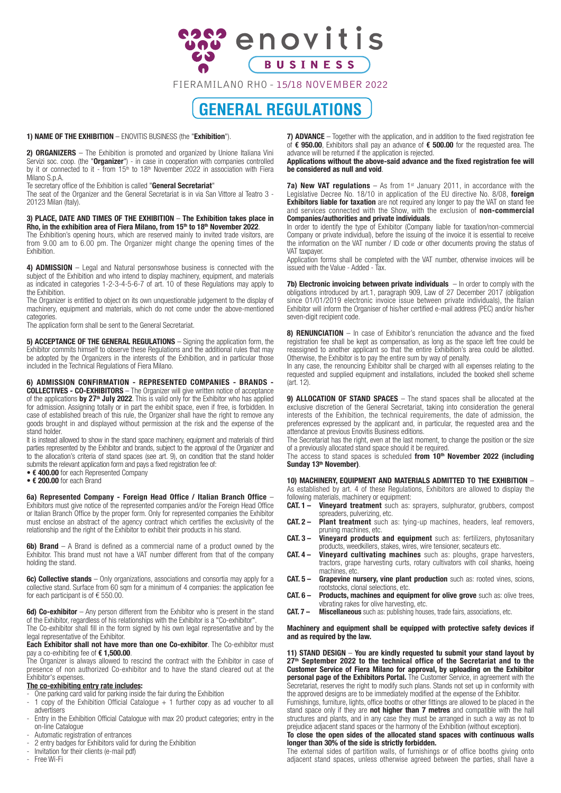

FIERAMILANO RHO - 15/18 NOVEMBER 2022

# **GENERAL REGULATIONS**

1) NAME OF THE EXHIBITION – ENOVITIS BUSINESS (the "Exhibition").

2) ORGANIZERS - The Exhibition is promoted and organized by Unione Italiana Vini Servizi soc. coop. (the "**Organizer**") - in case in cooperation with companies controlled by it or connected to it - from 15<sup>th</sup> to 18<sup>th</sup> November 2022 in association with Fiera Milano S.p.A.

Te secretary office of the Exhibition is called "General Secretariat"

The seat of the Organizer and the General Secretariat is in via San Vittore al Teatro 3 - 20123 Milan (Italy).

3) PLACE, DATE AND TIMES OF THE EXHIBITION – The Exhibition takes place in Rho, in the exhibition area of Fiera Milano, from 15<sup>th</sup> to 18<sup>th</sup> November 2022.

The Exhibition's opening hours, which are reserved mainly to invited trade visitors, are from 9.00 am to 6.00 pm. The Organizer might change the opening times of the Exhibition.

4) **ADMISSION** – Legal and Natural personswhose business is connected with the subject of the Exhibition and who intend to display machinery, equipment, and materials as indicated in categories 1-2-3-4-5-6-7 of art. 10 of these Regulations may apply to the Exhibition.

The Organizer is entitled to object on its own unquestionable judgement to the display of machinery, equipment and materials, which do not come under the above-mentioned categories.

The application form shall be sent to the General Secretariat.

5) ACCEPTANCE OF THE GENERAL REGULATIONS – Signing the application form, the Exhibitor commits himself to observe these Regulations and the additional rules that may be adopted by the Organizers in the interests of the Exhibition, and in particular those included in the Technical Regulations of Fiera Milano.

6) ADMISSION CONFIRMATION - REPRESENTED COMPANIES - BRANDS - **COLLECTIVES - CO-EXHIBITORS** - The Organizer will give written notice of acceptance of the applications by **27th July** 2022. This is valid only for the Exhibitor who has applied for admission. Assigning totally or in part the exhibit space, even if free, is forbidden. In case of established breach of this rule, the Organizer shall have the right to remove any goods brought in and displayed without permission at the risk and the expense of the stand holder.

It is instead allowed to show in the stand space machinery, equipment and materials of third parties represented by the Exhibitor and brands, subject to the approval of the Organizer and to the allocation's criteria of stand spaces (see art. 9), on condition that the stand holder submits the relevant application form and pays a fixed registration fee of:

• € 400.00 for each Represented Company

• € 200.00 for each Brand

6a) Represented Company - Foreign Head Office / Italian Branch Office – Exhibitors must give notice of the represented companies and/or the Foreign Head Office or Italian Branch Office by the proper form. Only for represented companies the Exhibitor must enclose an abstract of the agency contract which certifies the exclusivity of the relationship and the right of the Exhibitor to exhibit their products in his stand.

6b) Brand – A Brand is defined as a commercial name of a product owned by the Exhibitor. This brand must not have a VAT number different from that of the company holding the stand.

6c) Collective stands – Only organizations, associations and consortia may apply for a collective stand. Surface from 60 sqm for a minimum of 4 companies: the application fee for each participant is of € 550.00.

6d) Co-exhibitor - Any person different from the Exhibitor who is present in the stand of the Exhibitor, regardless of his relationships with the Exhibitor is a "Co-exhibitor".

The Co-exhibitor shall fill in the form signed by his own legal representative and by the legal representative of the Exhibitor. Each Exhibitor shall not have more than one Co-exhibitor. The Co-exhibitor must

pay a co-exhibiting fee of € 1,500.00.

The Organizer is always allowed to rescind the contract with the Exhibitor in case of presence of non authorized Co-exhibitor and to have the stand cleared out at the Exhibitor's expenses.

## The co-exhibiting entry rate includes:

- One parking card valid for parking inside the fair during the Exhibition
- 1 copy of the Exhibition Official Catalogue  $+$  1 further copy as ad voucher to all advertisers
- Entry in the Exhibition Official Catalogue with max 20 product categories; entry in the on-line Catalogue
- Automatic registration of entrances
- 2 entry badges for Exhibitors valid for during the Exhibition
- Invitation for their clients (e-mail pdf)<br>- Free Wi-Fi
- Free Wi-Fi

7) ADVANCE – Together with the application, and in addition to the fixed registration fee of € 950.00, Exhibitors shall pay an advance of € 500.00 for the requested area. The advance will be returned if the application is rejected.

Applications without the above-said advance and the fixed registration fee will be considered as null and void.

**7a) New VAT regulations**  $-$  As from 1<sup>st</sup> January 2011, in accordance with the Legislative Decree No. 18/10 in application of the EU directive No. 8/08, foreign Exhibitors liable for taxation are not required any longer to pay the VAT on stand fee and services connected with the Show, with the exclusion of non-commercial Companies/authorities and private individuals.

In order to identify the type of Exhibitor (Company liable for taxation/non-commercial Company or private individual), before the issuing of the invoice it is essential to receive the information on the VAT number / ID code or other documents proving the status of VAT taxpayer.

Application forms shall be completed with the VAT number, otherwise invoices will be issued with the Value - Added - Tax.

7b) Electronic invoicing between private individuals – In order to comply with the obligations introduced by art.1, paragraph 909, Law of 27 December 2017 (obligation since 01/01/2019 electronic invoice issue between private individuals), the Italian Exhibitor will inform the Organiser of his/her certified e-mail address (PEC) and/or his/her seven-digit recipient code.

8) RENUNCIATION – In case of Exhibitor's renunciation the advance and the fixed registration fee shall be kept as compensation, as long as the space left free could be reassigned to another applicant so that the entire Exhibition's area could be allotted. Otherwise, the Exhibitor is to pay the entire sum by way of penalty.

In any case, the renouncing Exhibitor shall be charged with all expenses relating to the requested and supplied equipment and installations, included the booked shell scheme (art. 12).

9) ALLOCATION OF STAND SPACES – The stand spaces shall be allocated at the exclusive discretion of the General Secretariat, taking into consideration the general interests of the Exhibition, the technical requirements, the date of admission, the preferences expressed by the applicant and, in particular, the requested area and the attendance at previous Enovitis Business editions.

The Secretariat has the right, even at the last moment, to change the position or the size of a previously allocated stand space should it be required.

The access to stand spaces is scheduled from 10<sup>th</sup> November 2022 (including Sunday 13<sup>th</sup> November).

10) MACHINERY, EQUIPMENT AND MATERIALS ADMITTED TO THE EXHIBITION – As established by art. 4 of these Regulations, Exhibitors are allowed to display the following materials, machinery or equipment:

CAT. 1 - Vineyard treatment such as: sprayers, sulphurator, grubbers, compost spreaders, pulverizing, etc.

- CAT. 2 Plant treatment such as: tying-up machines, headers, leaf removers, pruning machines, etc.
- CAT. 3 Vineyard products and equipment such as: fertilizers, phytosanitary products, weedkillers, stakes, wires, wire tensioner, secateurs etc.
- **CAT. 4 Vineyard cultivating machines** such as: ploughs, grape harvesters, tractors, grape harvesting curts, rotary cultivators with coil shanks, hoeing machines, etc.
- **CAT. 5 Grapevine nursery, vine plant production** such as: rooted vines, scions, rootstocks, clonal selections, etc.
- CAT. 6 Products, machines and equipment for olive grove such as: olive trees, vibrating rakes for olive harvesting, etc.
- **CAT. 7 Miscellaneous** such as: publishing houses, trade fairs, associations, etc.

#### Machinery and equipment shall be equipped with protective safety devices if and as required by the law.

11) STAND DESIGN – You are kindly requested tu submit your stand layout by  $27<sup>th</sup>$  September 2022 to the technical office of the Secretariat and to the Customer Service of Fiera Milano for approval, by uploading on the Exhibitor personal page of the Exhibitors Portal. The Customer Service, in agreement with the Secretariat, reserves the right to modify such plans. Stands not set up in conformity with the approved designs are to be immediately modified at the expense of the Exhibitor.

Furnishings, furniture, lights, office booths or other fittings are allowed to be placed in the stand space only if they are not higher than 7 metres and compatible with the hall structures and plants, and in any case they must be arranged in such a way as not to prejudice adjacent stand spaces or the harmony of the Exhibition (without exception).

#### To close the open sides of the allocated stand spaces with continuous walls longer than 30% of the side is strictly forbidden.

The external sides of partition walls, of furnishings or of office booths giving onto adjacent stand spaces, unless otherwise agreed between the parties, shall have a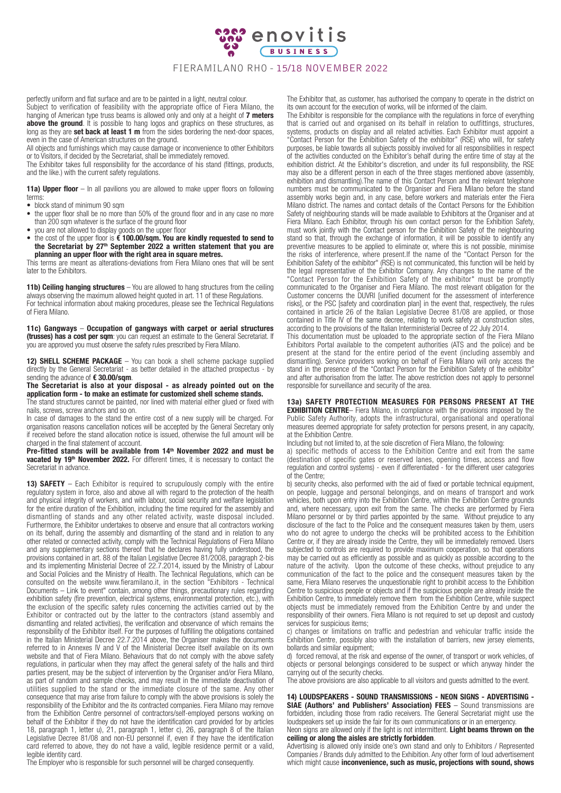

## FIERAMILANO RHO - 15/18 NOVEMBER 2022

perfectly uniform and flat surface and are to be painted in a light, neutral colour. Subject to verification of feasibility with the appropriate office of Fiera Milano, the hanging of American type truss beams is allowed only and only at a height of 7 meters above the ground. It is possible to hang logos and graphics on these structures, as long as they are set back at least 1 m from the sides bordering the next-door spaces. even in the case of American structures on the ground.

All objects and furnishings which may cause damage or inconvenience to other Exhibitors or to Visitors, if decided by the Secretariat, shall be immediately removed.

The Exhibitor takes full responsibility for the accordance of his stand (fittings, products, and the like.) with the current safety regulations.

**11a) Upper floor**  $-$  In all pavilions you are allowed to make upper floors on following terms:

- block stand of minimum 90 sqm<br>• the unner floor shall be no more
- the upper floor shall be no more than 50% of the ground floor and in any case no more than 200 sqm whatever is the surface of the ground floor
- you are not allowed to display goods on the upper floor
- the cost of the upper floor is € 100.00/sqm. You are kindly requested to send to the Secretariat by 27th September 2022 a written statement that you are planning an upper floor with the right area in square metres.

This terms are meant as alterations-deviations from Fiera Milano ones that will be sent later to the Exhibitors.

11b) Ceiling hanging structures - You are allowed to hang structures from the ceiling always observing the maximum allowed height quoted in art. 11 of these Regulations. For technical information about making procedures, please see the Technical Regulations of Fiera Milano.

11c) Gangways – Occupation of gangways with carpet or aerial structures (trusses) has a cost per sqm: you can request an estimate to the General Secretariat. If you are approved you must observe the safety rules prescribed by Fiera Milano.

12) SHELL SCHEME PACKAGE - You can book a shell scheme package supplied directly by the General Secretariat - as better detailed in the attached prospectus - by sending the advance of € 30.00/sqm.

The Secretariat is also at your disposal - as already pointed out on the application form - to make an estimate for customized shell scheme stands. The stand structures cannot be painted, nor lined with material either glued or fixed with nails, screws, screw anchors and so on.

In case of damages to the stand the entire cost of a new supply will be charged. For organisation reasons cancellation notices will be accepted by the General Secretary only if received before the stand allocation notice is issued, otherwise the full amount will be charged in the final statement of account.

Pre-fitted stands will be available from 14<sup>th</sup> November 2022 and must be vacated by 19<sup>th</sup> November 2022. For different times, it is necessary to contact the Secretariat in advance.

13) SAFETY – Each Exhibitor is required to scrupulously comply with the entire regulatory system in force, also and above all with regard to the protection of the health and physical integrity of workers, and with labour, social security and welfare legislation for the entire duration of the Exhibition, including the time required for the assembly and dismantling of stands and any other related activity, waste disposal included. Furthermore, the Exhibitor undertakes to observe and ensure that all contractors working on its behalf, during the assembly and dismantling of the stand and in relation to any other related or connected activity, comply with the Technical Regulations of Fiera Milano and any supplementary sections thereof that he declares having fully understood, the provisions contained in art. 88 of the Italian Legislative Decree 81/2008, paragraph 2-bis and its implementing Ministerial Decree of 22.7.2014, issued by the Ministry of Labour and Social Policies and the Ministry of Health. The Technical Regulations, which can be consulted on the website www.fieramilano.it, in the section "Exhibitors - Technical Documents – Link to event" contain, among other things, precautionary rules regarding exhibition safety (fire prevention, electrical systems, environmental protection, etc.), with the exclusion of the specific safety rules concerning the activities carried out by the Exhibitor or contracted out by the latter to the contractors (stand assembly and dismantling and related activities), the verification and observance of which remains the responsibility of the Exhibitor itself. For the purposes of fulfilling the obligations contained in the Italian Ministerial Decree 22.7.2014 above, the Organiser makes the documents referred to in Annexes IV and V of the Ministerial Decree itself available on its own website and that of Fiera Milano. Behaviours that do not comply with the above safety regulations, in particular when they may affect the general safety of the halls and third parties present, may be the subject of intervention by the Organiser and/or Fiera Milano, as part of random and sample checks, and may result in the immediate deactivation of utilities supplied to the stand or the immediate closure of the same. Any other consequence that may arise from failure to comply with the above provisions is solely the responsibility of the Exhibitor and the its contracted companies. Fiera Milano may remove from the Exhibition Centre personnel of contractors/self-employed persons working on behalf of the Exhibitor if they do not have the identification card provided for by articles 18, paragraph 1, letter u), 21, paragraph 1, letter c), 26, paragraph 8 of the Italian Legislative Decree 81/08 and non-EU personnel if, even if they have the identification card referred to above, they do not have a valid, legible residence permit or a valid, legible identity card.

The Employer who is responsible for such personnel will be charged consequently.

The Exhibitor that, as customer, has authorised the company to operate in the district on its own account for the execution of works, will be informed of the claim.

The Exhibitor is responsible for the compliance with the regulations in force of everything that is carried out and organised on its behalf in relation to outfittings, structures, systems, products on display and all related activities. Each Exhibitor must appoint a "Contact Person for the Exhibition Safety of the exhibitor" (RSE) who will, for safety purposes, be liable towards all subjects possibly involved for all responsibilities in respect of the activities conducted on the Exhibitor's behalf during the entire time of stay at the exhibition district. At the Exhibitor's discretion, and under its full responsibility, the RSE may also be a different person in each of the three stages mentioned above (assembly, exhibition and dismantling).The name of this Contact Person and the relevant telephone numbers must be communicated to the Organiser and Fiera Milano before the stand assembly works begin and, in any case, before workers and materials enter the Fiera Milano district. The names and contact details of the Contact Persons for the Exhibition Safety of neighbouring stands will be made available to Exhibitors at the Organiser and at Fiera Milano. Each Exhibitor, through his own contact person for the Exhibition Safety, must work jointly with the Contact person for the Exhibition Safety of the neighbouring stand so that, through the exchange of information, it will be possible to identify any preventive measures to be applied to eliminate or, where this is not possible, minimise the risks of interference, where present.If the name of the "Contact Person for the Exhibition Safety of the exhibitor" (RSE) is not communicated, this function will be held by the legal representative of the Exhibitor Company. Any changes to the name of the "Contact Person for the Exhibition Safety of the exhibitor" must be promptly communicated to the Organiser and Fiera Milano. The most relevant obligation for the Customer concerns the DUVRI [unified document for the assessment of interference risks], or the PSC [safety and coordination plan] in the event that, respectively, the rules contained in article 26 of the Italian Legislative Decree 81/08 are applied, or those contained in Title IV of the same decree, relating to work safety at construction sites, according to the provisions of the Italian Interministerial Decree of 22 July 2014.

This documentation must be uploaded to the appropriate section of the Fiera Milano Exhibitors Portal available to the competent authorities (ATS and the police) and be present at the stand for the entire period of the event (including assembly and dismantling). Service providers working on behalf of Fiera Milano will only access the stand in the presence of the "Contact Person for the Exhibition Safety of the exhibitor" and after authorisation from the latter. The above restriction does not apply to personnel responsible for surveillance and security of the area.

13a) SAFETY PROTECTION MEASURES FOR PERSONS PRESENT AT THE **EXHIBITION CENTRE**— Fiera Milano, in compliance with the provisions imposed by the Public Safety Authority, adopts the infrastructural, organisational and operational measures deemed appropriate for safety protection for persons present, in any capacity, at the Exhibition Centre.

Including but not limited to, at the sole discretion of Fiera Milano, the following:

a) specific methods of access to the Exhibition Centre and exit from the same (destination of specific gates or reserved lanes, opening times, access and flow regulation and control systems) - even if differentiated - for the different user categories of the Centre;

b) security checks, also performed with the aid of fixed or portable technical equipment, on people, luggage and personal belongings, and on means of transport and work vehicles, both upon entry into the Exhibition Centre, within the Exhibition Centre grounds and, where necessary, upon exit from the same. The checks are performed by Fiera Milano personnel or by third parties appointed by the same. Without prejudice to any disclosure of the fact to the Police and the consequent measures taken by them, users who do not agree to undergo the checks will be prohibited access to the Exhibition Centre or, if they are already inside the Centre, they will be immediately removed. Users subjected to controls are required to provide maximum cooperation, so that operations may be carried out as efficiently as possible and as quickly as possible according to the nature of the activity. Upon the outcome of these checks, without prejudice to any communication of the fact to the police and the consequent measures taken by the same, Fiera Milano reserves the unquestionable right to prohibit access to the Exhibition Centre to suspicious people or objects and if the suspicious people are already inside the Exhibition Centre, to immediately remove them from the Exhibition Centre, while suspect objects must be immediately removed from the Exhibition Centre by and under the responsibility of their owners. Fiera Milano is not required to set up deposit and custody services for suspicious items;

c) changes or limitations on traffic and pedestrian and vehicular traffic inside the Exhibition Centre, possibly also with the installation of barriers, new jersey elements, bollards and similar equipment;

d) forced removal, at the risk and expense of the owner, of transport or work vehicles, of objects or personal belongings considered to be suspect or which anyway hinder the carrying out of the security checks.

The above provisions are also applicable to all visitors and guests admitted to the event.

14) LOUDSPEAKERS - SOUND TRANSMISSIONS - NEON SIGNS - ADVERTISING - SIAE (Authors' and Publishers' Association) FEES - Sound transmissions are forbidden, including those from radio receivers. The General Secretariat might use the loudspeakers set up inside the fair for its own communications or in an emergency.

Neon signs are allowed only if the light is not intermittent. Light beams thrown on the ceiling or along the aisles are strictly forbidden.

Advertising is allowed only inside one's own stand and only to Exhibitors / Represented Companies / Brands duly admitted to the Exhibition. Any other form of loud advertisement which might cause inconvenience, such as music, projections with sound, shows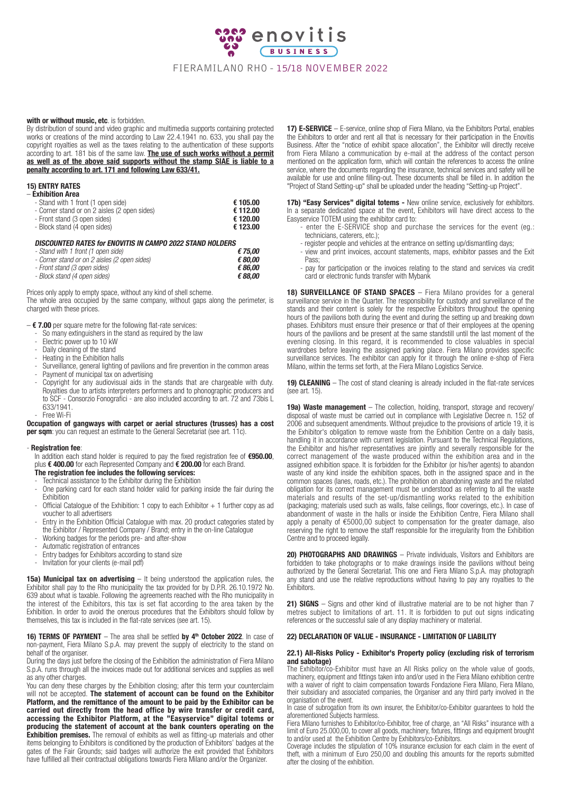

## with or without music, etc. is forbidden.

By distribution of sound and video graphic and multimedia supports containing protected works or creations of the mind according to Law 22.4.1941 no. 633, you shall pay the copyright royalties as well as the taxes relating to the authentication of these supports according to art. 181 bis of the same law. The use of such works without a permit as well as of the above said supports without the stamp SIAE is liable to a penalty according to art. 171 and following Law 633/41.

## 15) ENTRY RATES

| – Exhibition Area                            |          |
|----------------------------------------------|----------|
| - Stand with 1 front (1 open side)           | € 105.00 |
| - Corner stand or on 2 aisles (2 open sides) | € 112.00 |
| - Front stand (3 open sides)                 | € 120.00 |
| - Block stand (4 open sides)                 | € 123.00 |
|                                              |          |

## DISCOUNTED RATES for ENOVITIS IN CAMPO 2022 STAND HOLDERS

| - Stand with 1 front (1 open side)           | €75.00  |
|----------------------------------------------|---------|
| - Corner stand or on 2 aisles (2 open sides) | € 80.00 |
| - Front stand (3 open sides)                 | € 86.00 |
| - Block stand (4 open sides)                 | € 88.00 |

Prices only apply to empty space, without any kind of shell scheme.

The whole area occupied by the same company, without gaps along the perimeter, is charged with these prices.

- $-$  € 7.00 per square metre for the following flat-rate services:
	- So many extinguishers in the stand as required by the law
	- Electric power up to 10 kW<br>- Daily cleaning of the stand
	- Daily cleaning of the stand
	- Heating in the Exhibition halls
	- Surveillance, general lighting of pavilions and fire prevention in the common areas Payment of municipal tax on advertising
	- Copyright for any audiovisual aids in the stands that are chargeable with duty. Royalties due to artists interpreters performers and to phonographic producers and to SCF - Consorzio Fonografici - are also included according to art. 72 and 73bis L 633/1941.

Occupation of gangways with carpet or aerial structures (trusses) has a cost per sqm: you can request an estimate to the General Secretariat (see art. 11c).

#### - Registration fee:

- Free Wi-Fi

In addition each stand holder is required to pay the fixed registration fee of €950.00, plus € 400.00 for each Represented Company and € 200.00 for each Brand. The registration fee includes the following services:

- Technical assistance to the Exhibitor during the Exhibition
- One parking card for each stand holder valid for parking inside the fair during the Exhibition
- $\overline{O}$ fficial Catalogue of the Exhibition: 1 copy to each Exhibitor  $+$  1 further copy as ad voucher to all advertisers
- Entry in the Exhibition Official Catalogue with max. 20 product categories stated by the Exhibitor / Represented Company / Brand; entry in the on-line Catalogue
- Working badges for the periods pre- and after-show
- Automatic registration of entrances
- Entry badges for Exhibitors according to stand size
- Invitation for your clients (e-mail pdf)

15a) Municipal tax on advertising – It being understood the application rules, the Exhibitor shall pay to the Rho municipality the tax provided for by D.P.R. 26.10.1972 No. 639 about what is taxable. Following the agreements reached with the Rho municipality in the interest of the Exhibitors, this tax is set flat according to the area taken by the Exhibition. In order to avoid the onerous procedures that the Exhibitors should follow by themselves, this tax is included in the flat-rate services (see art. 15).

#### 16) TERMS OF PAYMENT – The area shall be settled by  $4<sup>th</sup>$  October 2022. In case of non-payment, Fiera Milano S.p.A. may prevent the supply of electricity to the stand on behalf of the organiser.

During the days just before the closing of the Exhibition the administration of Fiera Milano S.p.A. runs through all the invoices made out for additional services and supplies as well as any other charges.

You can deny these charges by the Exhibition closing; after this term your counterclaim will not be accepted. The statement of account can be found on the Exhibitor Platform, and the remittance of the amount to be paid by the Exhibitor can be carried out directly from the head office by wire transfer or credit card, accessing the Exhibitor Platform, at the "Easyservice" digital totems or producing the statement of account at the bank counters operating on the **Exhibition premises.** The removal of exhibits as well as fitting-up materials and other items belonging to Exhibitors is conditioned by the production of Exhibitors' badges at the gates of the Fair Grounds; said badges will authorize the exit provided that Exhibitors have fulfilled all their contractual obligations towards Fiera Milano and/or the Organizer.

17) E-SERVICE - E-service, online shop of Fiera Milano, via the Exhibitors Portal, enables the Exhibitors to order and rent all that is necessary for their participation in the Enovitis Business. After the "notice of exhibit space allocation", the Exhibitor will directly receive from Fiera Milano a communication by e-mail at the address of the contact person mentioned on the application form, which will contain the references to access the online service, where the documents regarding the insurance, technical services and safety will be available for use and online filling-out. These documents shall be filled in. In addition the "Project of Stand Setting-up" shall be uploaded under the heading "Setting-up Project".

17b) "Easy Services" digital totems - New online service, exclusively for exhibitors. In a separate dedicated space at the event, Exhibitors will have direct access to the Easyservice TOTEM using the exhibitor card to:

- enter the E-SERVICE shop and purchase the services for the event (eg.: technicians, caterers, etc.);
- register people and vehicles at the entrance on setting up/dismantling days;
- view and print invoices, account statements, maps, exhibitor passes and the Exit Pass;
- pay for participation or the invoices relating to the stand and services via credit card or electronic funds transfer with Mybank

18) SURVEILLANCE OF STAND SPACES - Fiera Milano provides for a general surveillance service in the Quarter. The responsibility for custody and surveillance of the stands and their content is solely for the respective Exhibitors throughout the opening hours of the pavilions both during the event and during the setting up and breaking down phases. Exhibitors must ensure their presence or that of their employees at the opening hours of the pavilions and be present at the same standstill until the last moment of the evening closing. In this regard, it is recommended to close valuables in special wardrobes before leaving the assigned parking place. Fiera Milano provides specific surveillance services. The exhibitor can apply for it through the online e-shop of Fiera Milano, within the terms set forth, at the Fiera Milano Logistics Service.

19) CLEANING – The cost of stand cleaning is already included in the flat-rate services (see art. 15).

19a) Waste management - The collection, holding, transport, storage and recovery/ disposal of waste must be carried out in compliance with Legislative Decree n. 152 of 2006 and subsequent amendments. Without prejudice to the provisions of article 19, it is the Exhibitor's obligation to remove waste from the Exhibition Centre on a daily basis, handling it in accordance with current legislation. Pursuant to the Technical Regulations, the Exhibitor and his/her representatives are jointly and severally responsible for the correct management of the waste produced within the exhibition area and in the assigned exhibition space. It is forbidden for the Exhibitor (or his/her agents) to abandon waste of any kind inside the exhibition spaces, both in the assigned space and in the common spaces (lanes, roads, etc.). The prohibition on abandoning waste and the related obligation for its correct management must be understood as referring to all the waste materials and results of the set-up/dismantling works related to the exhibition (packaging; materials used such as walls, false ceilings, floor coverings, etc.). In case of abandonment of waste in the halls or inside the Exhibition Centre, Fiera Milano shall apply a penalty of €5000,00 subject to compensation for the greater damage, also reserving the right to remove the staff responsible for the irregularity from the Exhibition Centre and to proceed legally.

20) PHOTOGRAPHS AND DRAWINGS - Private individuals, Visitors and Exhibitors are forbidden to take photographs or to make drawings inside the pavilions without being authorized by the General Secretariat. This one and Fiera Milano S.p.A. may photograph any stand and use the relative reproductions without having to pay any royalties to the Exhibitors.

21) SIGNS – Signs and other kind of illustrative material are to be not higher than 7 metres subject to limitations of art. 11. It is forbidden to put out signs indicating references or the successful sale of any display machinery or material.

## 22) DECLARATION OF VALUE - INSURANCE - LIMITATION OF LIABILITY

## 22.1) All-Risks Policy - Exhibitor's Property policy (excluding risk of terrorism

and sabotage) The Exhibitor/co-Exhibitor must have an All Risks policy on the whole value of goods, machinery, equipment and fittings taken into and/or used in the Fiera Milano exhibition centre with a waiver of right to claim compensation towards Fondazione Fiera Milano, Fiera Milano, their subsidiary and associated companies, the Organiser and any third party involved in the organisation of the event.

In case of subrogation from its own insurer, the Exhibitor/co-Exhibitor guarantees to hold the aforementioned Subjects harmless.

Fiera Milano furnishes to Exhibitor/co-Exhibitor, free of charge, an "All Risks" insurance with a limit of Euro 25.000,00, to cover all goods, machinery, fixtures, fittings and equipment brought to and/or used at the Exhibition Centre by Exhibitors/co-Exhibitors.

Coverage includes the stipulation of 10% insurance exclusion for each claim in the event of theft, with a minimum of Euro 250,00 and doubling this amounts for the reports submitted after the closing of the exhibition.